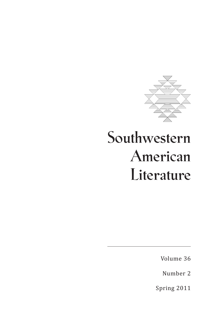

# **Southwestern American Literature**

Volume 36

Number 2

Spring 2011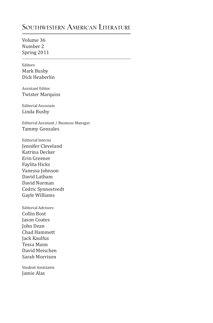## **Southwestern American Literature**

Volume 36 Number 2 Spring 2011

Editors Mark Busby Dick Heaberlin

Assistant Editor Twister Marquiss

Editorial Associate Linda Busby

Editorial Assistant / Business Manager Tammy Gonzales

Editorial Interns Jennifer Cleveland Katrina Decker Erin Greener Faylita Hicks Vanessa Johnson David Latham David Norman Cedric Synnestvedt Gayle Williams

Editorial Advisors Collin Bost Jason Coates John Dean Chad Hammett Jack Kaulfus Tessa Mann David Meischen Sarah Morrison

Student Assistants Jamie Alas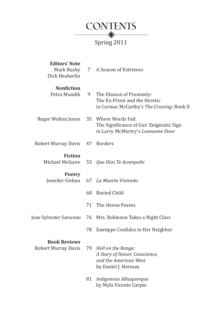

### Spring 2011

| <b>Editors' Note</b><br>Mark Busby<br>Dick Heaberlin | 7  | A Season of Extremes                                                                                      |
|------------------------------------------------------|----|-----------------------------------------------------------------------------------------------------------|
| <b>Nonfiction</b><br>Petra Mundik                    | 9  | The Illusion of Proximity:<br>The Ex-Priest and the Heretic<br>in Cormac McCarthy's The Crossing: Book II |
| Roger Walton Jones                                   |    | 35 Where Words Fail:<br>The Significance of Gus' Enigmatic Sign<br>in Larry McMurtry's Lonesome Dove      |
| <b>Robert Murray Davis</b>                           | 47 | <b>Borders</b>                                                                                            |
| <b>Fiction</b><br>Michael McGuire                    | 53 | Que Dios Te Acompañe                                                                                      |
| <b>Poetry</b><br>Jennifer Givhan                     | 67 | La Muerte Viviendo                                                                                        |
|                                                      | 68 | <b>Buried Child</b>                                                                                       |
|                                                      | 71 | The <i>Henna</i> Poems                                                                                    |
| June Sylvester Saraceno                              | 76 | Mrs. Robinson Takes a Night Class                                                                         |
|                                                      | 78 | Xantippe Confides in Her Neighbor                                                                         |
| <b>Book Reviews</b><br><b>Robert Murray Davis</b>    | 79 | Hell on the Range:<br>A Story of Honor, Conscience,<br>and the American West<br>by Daniel J. Herman       |
|                                                      | 81 | Indigenous Albuquerque<br>by Myla Vicente Carpio                                                          |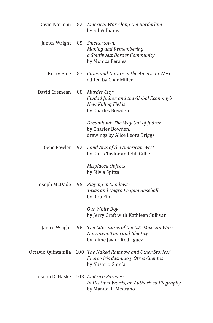| David Norman        | 82 | Amexica: War Along the Borderline<br>by Ed Vulliamy                                                   |
|---------------------|----|-------------------------------------------------------------------------------------------------------|
| James Wright        |    | 85 Smeltertown:<br>Making and Remembering<br>a Southwest Border Community<br>by Monica Perales        |
| Kerry Fine          | 87 | Cities and Nature in the American West<br>edited by Char Miller                                       |
| David Cremean       | 88 | Murder City:<br>Ciudad Juárez and the Global Economy's<br>New Killing Fields<br>by Charles Bowden     |
|                     |    | Dreamland: The Way Out of Juárez<br>by Charles Bowden,<br>drawings by Alice Leora Briggs              |
| <b>Gene Fowler</b>  | 92 | Land Arts of the American West<br>by Chris Taylor and Bill Gilbert                                    |
|                     |    | Misplaced Objects<br>by Silvia Spitta                                                                 |
| Joseph McDade       | 95 | Playing in Shadows:<br>Texas and Negro League Baseball<br>by Rob Fink                                 |
|                     |    | Our White Boy<br>by Jerry Craft with Kathleen Sullivan                                                |
| James Wright        | 98 | The Literatures of the U.S.-Mexican War:<br>Narrative, Time and Identity<br>by Jaime Javier Rodríguez |
| Octavio Quintanilla |    | 100 The Naked Rainbow and Other Stories/<br>El arco iris desnudo y Otros Cuentos<br>by Nasario García |
| Joseph D. Haske     |    | 103 Américo Paredes:<br>In His Own Words, an Authorized Biography<br>by Manuel F. Medrano             |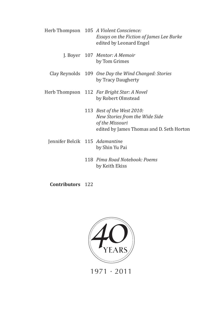- Herb Thompson 105 *A Violent Conscience: Essays on the Fiction of James Lee Burke* edited by Leonard Engel J. Boyer 107 *Mentor: A Memoir* by Tom Grimes Clay Reynolds 109 *One Day the Wind Changed: Stories* by Tracy Daugherty Herb Thompson 112 *Far Bright Star: A Novel* by Robert Olmstead 113 *Best of the West 2010: New Stories from the Wide Side of the Missouri* edited by James Thomas and D. Seth Horton Jennifer Belcik 115 *Adamantin*e by Shin Yu Pai
	- 118 *Pima Road Notebook: Poems* by Keith Ekiss

**Contributors** 122



1971 · 2011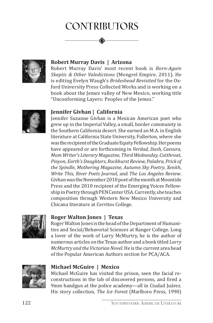# **Contributors**



#### **Robert Murray Davis | Arizona**

Robert Murray Davis' most recent book is *Born-Again Skeptic & Other Valedictions* (Mongrel Empire, 2011). He is editing Evelyn Waugh's *Brideshead Revisited* for the Oxford University Press Collected Works and is working on a book about the Jemez valley of New Mexico, working title "Unconforming Layers: Peoples of the Jemez."



#### **Jennifer Givhan | California**

Jennifer Suzanne Givhan is a Mexican American poet who grew up in the Imperial Valley, a small, border community in the Southern California desert. She earned an M.A. in English literature at California State University, Fullerton, where she was the recipient of the Graduate Equity Fellowship. Her poems have appeared or are forthcoming in *Verdad, Dash, Caesura, Mom Writer's Literary Magazine, Third Wednesday, Cutthroat, Pinyon, Earth's Daughters, Rockhurst Review, Palabra, Prick of the Spindle*, *Mothering Magazine*, *Autumn Sky Poetry*, *Xenith*, *Write This, River Poets Journal*, and *The Los Angeles Review*. Givhan was the November 2010 poet of the month at Moontide Press and the 2010 recipient of the Emerging Voices Fellowship in Poetry through PEN Center USA. Currently, she teaches composition through Western New Mexico University and Chicana literature at Cerritos College.



#### **Roger Walton Jones | Texas**

Roger Walton Jones is the head of the Department of Humanities and Social/Behavorial Sciences at Ranger College. Long a lover of the work of Larry McMurtry, he is the author of numerous articles on the Texas author and a book titled *Larry McMurtry and the Victorian Novel*. He is the current area head of the Popular American Authors section for PCA/ACA.



#### **Michael McGuire | Mexico**

Michael McGuire has visited the prison, seen the facial reconstructions in the lab of discovered persons, and fired a 9mm handgun at the police academy—all in Ciudad Juárez. His story collection, *The Ice Forest* (Marlboro Press, 1990)